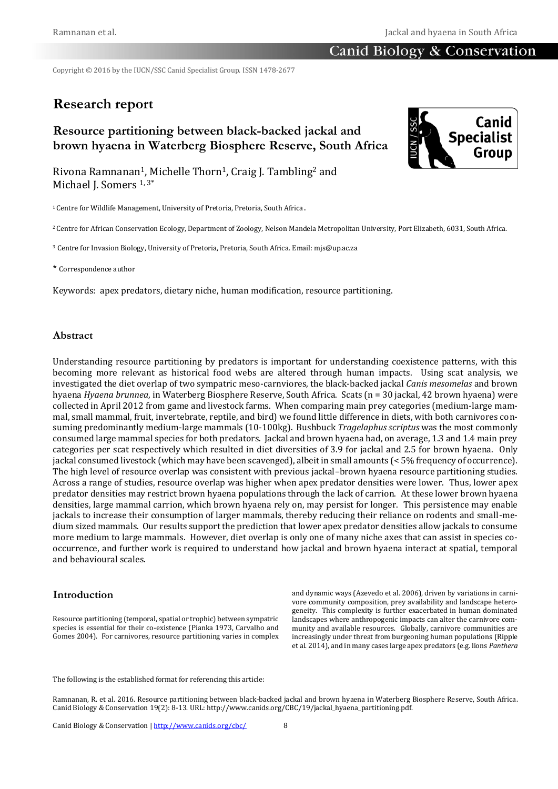## Canid Biology & Conservation

Copyright © 2016 by the IUCN/SSC Canid Specialist Group. ISSN 1478-2677

# **Research report**

## **Resource partitioning between black-backed jackal and brown hyaena in Waterberg Biosphere Reserve, South Africa**



Rivona Ramnanan1, Michelle Thorn1, Craig J. Tambling<sup>2</sup> and Michael J. Somers 1, 3\*

<sup>1</sup> Centre for Wildlife Management, University of Pretoria, Pretoria, South Africa.

<sup>2</sup> Centre for African Conservation Ecology, Department of Zoology, Nelson Mandela Metropolitan University, Port Elizabeth, 6031, South Africa.

<sup>3</sup> Centre for Invasion Biology, University of Pretoria, Pretoria, South Africa. Email: mjs@up.ac.za

\* Correspondence author

Keywords: apex predators, dietary niche, human modification, resource partitioning.

### **Abstract**

Understanding resource partitioning by predators is important for understanding coexistence patterns, with this becoming more relevant as historical food webs are altered through human impacts. Using scat analysis, we investigated the diet overlap of two sympatric meso-carnviores, the black-backed jackal *Canis mesomelas* and brown hyaena *Hyaena brunnea*, in Waterberg Biosphere Reserve, South Africa. Scats (n = 30 jackal, 42 brown hyaena) were collected in April 2012 from game and livestock farms. When comparing main prey categories (medium-large mammal, small mammal, fruit, invertebrate, reptile, and bird) we found little difference in diets, with both carnivores consuming predominantly medium-large mammals (10-100kg). Bushbuck *Tragelaphus scriptus* was the most commonly consumed large mammal species for both predators. Jackal and brown hyaena had, on average, 1.3 and 1.4 main prey categories per scat respectively which resulted in diet diversities of 3.9 for jackal and 2.5 for brown hyaena. Only jackal consumed livestock (which may have been scavenged), albeit in small amounts (< 5% frequency of occurrence). The high level of resource overlap was consistent with previous jackal–brown hyaena resource partitioning studies. Across a range of studies, resource overlap was higher when apex predator densities were lower. Thus, lower apex predator densities may restrict brown hyaena populations through the lack of carrion. At these lower brown hyaena densities, large mammal carrion, which brown hyaena rely on, may persist for longer. This persistence may enable jackals to increase their consumption of larger mammals, thereby reducing their reliance on rodents and small-medium sized mammals. Our results support the prediction that lower apex predator densities allow jackals to consume more medium to large mammals. However, diet overlap is only one of many niche axes that can assist in species cooccurrence, and further work is required to understand how jackal and brown hyaena interact at spatial, temporal and behavioural scales.

#### **Introduction**

Resource partitioning (temporal, spatial or trophic) between sympatric species is essential for their co-existence (Pianka 1973, Carvalho and Gomes 2004). For carnivores, resource partitioning varies in complex

and dynamic ways (Azevedo et al. 2006), driven by variations in carnivore community composition, prey availability and landscape heterogeneity. This complexity is further exacerbated in human dominated landscapes where anthropogenic impacts can alter the carnivore community and available resources. Globally, carnivore communities are increasingly under threat from burgeoning human populations (Ripple et al. 2014), and in many cases large apex predators (e.g. lions *Panthera* 

The following is the established format for referencing this article:

Ramnanan, R. et al. 2016. Resource partitioning between black-backed jackal and brown hyaena in Waterberg Biosphere Reserve, South Africa. Canid Biology & Conservation 19(2): 8-13. URL: http://www.canids.org/CBC/19/jackal\_hyaena\_partitioning.pdf.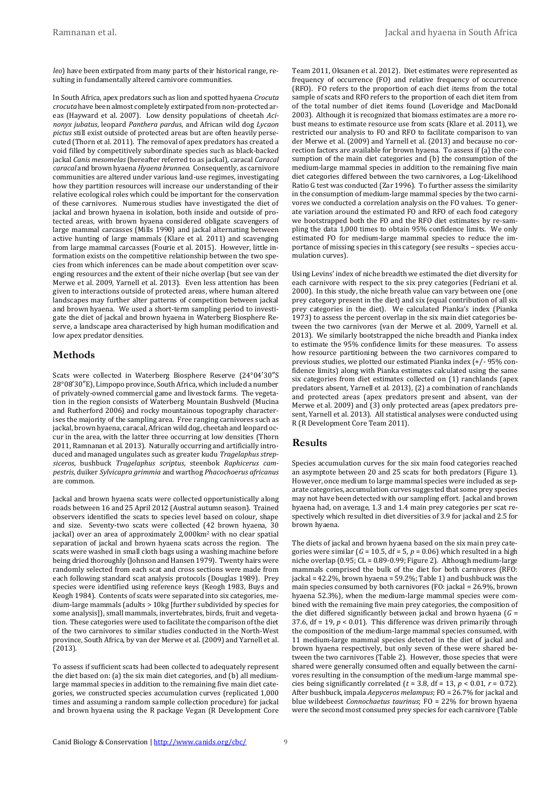*leo*) have been extirpated from many parts of their historical range, resulting in fundamentally altered carnivore communities.

In South Africa, apex predators such as lion and spotted hyaena *Crocuta crocuta* have been almost completely extirpated from non-protected areas (Hayward et al. 2007). Low density populations of cheetah *Acinonyx jubatus*, leopard *Panthera pardus*, and African wild dog *Lycaon pictus* still exist outside of protected areas but are often heavily persecuted (Thorn et al. 2011). The removal of apex predators has created a void filled by competitively subordinate species such as black-backed jackal *Canis mesomelas* (hereafter referred to as jackal)*,* caracal *Caracal caracal* and brown hyaena *Hyaena brunnea*. Consequently, as carnivore communities are altered under various land-use regimes, investigating how they partition resources will increase our understanding of their relative ecological roles which could be important for the conservation of these carnivores. Numerous studies have investigated the diet of jackal and brown hyaena in isolation, both inside and outside of protected areas, with brown hyaena considered obligate scavengers of large mammal carcasses (Mills 1990) and jackal alternating between active hunting of large mammals (Klare et al. 2011) and scavenging from large mammal carcasses (Fourie et al. 2015). However, little information exists on the competitive relationship between the two species from which inferences can be made about competition over scavenging resources and the extent of their niche overlap (but see van der Merwe et al. 2009, Yarnell et al*.* 2013). Even less attention has been given to interactions outside of protected areas, where human altered landscapes may further alter patterns of competition between jackal and brown hyaena. We used a short-term sampling period to investigate the diet of jackal and brown hyaena in Waterberg Biosphere Reserve, a landscape area characterised by high human modification and low apex predator densities.

#### **Methods**

Scats were collected in Waterberg Biosphere Reserve (24°04′30″S 28°08′30″E), Limpopo province, South Africa, which included a number of privately-owned commercial game and livestock farms. The vegetation in the region consists of Waterberg Mountain Bushveld (Mucina and Rutherford 2006) and rocky mountainous topography characterises the majority of the sampling area. Free ranging carnivores such as jackal, brown hyaena, caracal, African wild dog, cheetah and leopard occur in the area, with the latter three occurring at low densities (Thorn 2011, Ramnanan et al. 2013). Naturally occurring and artificially introduced and managed ungulates such as greater kudu *Tragelaphus strepsiceros*, bushbuck *Tragelaphus scriptus*, steenbok *Raphicerus campestris*, duiker *Sylvicapra grimmia* and warthog *Phacochoerus africanus* are common.

Jackal and brown hyaena scats were collected opportunistically along roads between 16 and 25 April 2012 (Austral autumn season). Trained observers identified the scats to species level based on colour, shape and size. Seventy-two scats were collected (42 brown hyaena, 30 jackal) over an area of approximately 2,000km<sup>2</sup> with no clear spatial separation of jackal and brown hyaena scats across the region. The scats were washed in small cloth bags using a washing machine before being dried thoroughly (Johnson and Hansen 1979). Twenty hairs were randomly selected from each scat and cross sections were made from each following standard scat analysis protocols (Douglas 1989). Prey species were identified using reference keys (Keogh 1983, Buys and Keogh 1984). Contents of scats were separated into six categories, medium-large mammals (adults > 10kg [further subdivided by species for some analysis]), small mammals, invertebrates, birds, fruit and vegetation. These categories were used to facilitate the comparison of the diet of the two carnivores to similar studies conducted in the North-West province, South Africa, by van der Merwe et al. (2009) and Yarnell et al. (2013).

To assess if sufficient scats had been collected to adequately represent the diet based on: (a) the six main diet categories, and (b) all mediumlarge mammal species in addition to the remaining five main diet categories, we constructed species accumulation curves (replicated 1,000 times and assuming a random sample collection procedure) for jackal and brown hyaena using the R package Vegan (R Development Core Team 2011, Oksanen et al. 2012). Diet estimates were represented as frequency of occurrence (FO) and relative frequency of occurrence (RFO). FO refers to the proportion of each diet items from the total sample of scats and RFO refers to the proportion of each diet item from of the total number of diet items found (Loveridge and MacDonald 2003). Although it is recognized that biomass estimates are a more robust means to estimate resource use from scats (Klare et al. 2011), we restricted our analysis to FO and RFO to facilitate comparison to van der Merwe et al. (2009) and Yarnell et al. (2013) and because no correction factors are available for brown hyaena. To assess if (a) the consumption of the main diet categories and (b) the consumption of the medium-large mammal species in addition to the remaining five main diet categories differed between the two carnivores, a Log-Likelihood Ratio G test was conducted (Zar 1996). To further assess the similarity in the consumption of medium-large mammal species by the two carnivores we conducted a correlation analysis on the FO values. To generate variation around the estimated FO and RFO of each food category we bootstrapped both the FO and the RFO diet estimates by re-sampling the data 1,000 times to obtain 95% confidence limits. We only estimated FO for medium-large mammal species to reduce the importance of missing species in this category (see results – species accumulation curves).

Using Levins' index of niche breadth we estimated the diet diversity for each carnivore with respect to the six prey categories (Fedriani et al. 2000). In this study, the niche breath value can vary between one (one prey category present in the diet) and six (equal contribution of all six prey categories in the diet). We calculated Pianka's index (Pianka 1973) to assess the percent overlap in the six main diet categories between the two carnivores (van der Merwe et al. 2009, Yarnell et al. 2013). We similarly bootstrapped the niche breadth and Pianka index to estimate the 95% confidence limits for these measures. To assess how resource partitioning between the two carnivores compared to previous studies, we plotted our estimated Pianka index (+/- 95% confidence limits) along with Pianka estimates calculated using the same six categories from diet estimates collected on (1) ranchlands (apex predators absent, Yarnell et al. 2013), (2) a combination of ranchlands and protected areas (apex predators present and absent, van der Merwe et al. 2009) and (3) only protected areas (apex predators present, Yarnell et al. 2013). All statistical analyses were conducted using R (R Development Core Team 2011).

#### **Results**

Species accumulation curves for the six main food categories reached an asymptote between 20 and 25 scats for both predators (Figure 1). However, once medium to large mammal species were included as separate categories, accumulation curves suggested that some prey species may not have been detected with our sampling effort. Jackal and brown hyaena had, on average, 1.3 and 1.4 main prey categories per scat respectively which resulted in diet diversities of 3.9 for jackal and 2.5 for brown hyaena.

The diets of jackal and brown hyaena based on the six main prey categories were similar  $(G = 10.5, df = 5, p = 0.06)$  which resulted in a high niche overlap (0.95; CL = 0.89-0.99; Figure 2). Although medium-large mammals comprised the bulk of the diet for both carnivores (RFO: jackal = 42.2%, brown hyaena = 59.2%; Table 1) and bushbuck was the main species consumed by both carnivores (FO: jackal = 26.9%, brown hyaena 52.3%), when the medium-large mammal species were combined with the remaining five main prey categories, the composition of the diet differed significantly between jackal and brown hyaena (*G* = 37.6,  $df = 19$ ,  $p < 0.01$ ). This difference was driven primarily through the composition of the medium-large mammal species consumed, with 11 medium-large mammal species detected in the diet of jackal and brown hyaena respectively, but only seven of these were shared between the two carnivores (Table 2). However, those species that were shared were generally consumed often and equally between the carnivores resulting in the consumption of the medium-large mammal species being significantly correlated ( $t = 3.8$ , df = 13,  $p < 0.01$ ,  $r = 0.72$ ). After bushbuck, impala *Aepyceros melampus*; FO = 26.7% for jackal and blue wildebeest *Connochaetus taurinus*; FO = 22% for brown hyaena were the second most consumed prey species for each carnivore (Table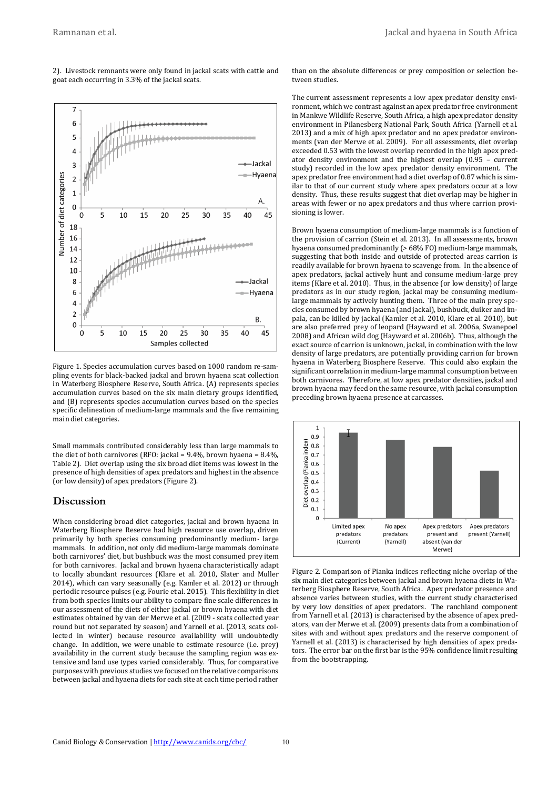$\overline{7}$ 6 5  $\overline{4}$ -Jackal 3 -Hyaena Number of diet categories  $\overline{2}$  $\mathbf{1}$ A 0  $\Omega$ 5 10 15 20 25 30 35 40 45 18 16 14 12 10 8 Jackal 6 -Hyaena  $\overline{4}$  $\overline{2}$ **B.**  $\Omega$ 10 15 20 25 30 35 40 45  $\mathbf 0$ 5 Samples collected

2). Livestock remnants were only found in jackal scats with cattle and

Figure 1. Species accumulation curves based on 1000 random re-sampling events for black-backed jackal and brown hyaena scat collection in Waterberg Biosphere Reserve, South Africa. (A) represents species accumulation curves based on the six main dietary groups identified, and (B) represents species accumulation curves based on the species specific delineation of medium-large mammals and the five remaining main diet categories.

Small mammals contributed considerably less than large mammals to the diet of both carnivores (RFO: jackal =  $9.4\%$ , brown hyaena =  $8.4\%$ , Table 2). Diet overlap using the six broad diet items was lowest in the presence of high densities of apex predators and highest in the absence (or low density) of apex predators (Figure 2).

#### **Discussion**

When considering broad diet categories, jackal and brown hyaena in Waterberg Biosphere Reserve had high resource use overlap, driven primarily by both species consuming predominantly medium- large mammals. In addition, not only did medium-large mammals dominate both carnivores' diet, but bushbuck was the most consumed prey item for both carnivores. Jackal and brown hyaena characteristically adapt to locally abundant resources (Klare et al. 2010, Slater and Muller 2014), which can vary seasonally (e.g. Kamler et al. 2012) or through periodic resource pulses (e.g. Fourie et al. 2015). This flexibility in diet from both species limits our ability to compare fine scale differences in our assessment of the diets of either jackal or brown hyaena with diet estimates obtained by van der Merwe et al. (2009 - scats collected year round but not separated by season) and Yarnell et al. (2013, scats collected in winter) because resource availability will undoubtedly change. In addition, we were unable to estimate resource (i.e. prey) availability in the current study because the sampling region was extensive and land use types varied considerably. Thus, for comparative purposes with previous studies we focused on the relative comparisons between jackal and hyaena diets for each site at each time period rather than on the absolute differences or prey composition or selection between studies.

The current assessment represents a low apex predator density environment, which we contrast against an apex predator free environment in Mankwe Wildlife Reserve, South Africa, a high apex predator density environment in Pilanesberg National Park, South Africa (Yarnell et al. 2013) and a mix of high apex predator and no apex predator environments (van der Merwe et al. 2009). For all assessments, diet overlap exceeded 0.53 with the lowest overlap recorded in the high apex predator density environment and the highest overlap (0.95 – current study) recorded in the low apex predator density environment. The apex predator free environment had a diet overlap of 0.87 which is similar to that of our current study where apex predators occur at a low density. Thus, these results suggest that diet overlap may be higher in areas with fewer or no apex predators and thus where carrion provisioning is lower.

Brown hyaena consumption of medium-large mammals is a function of the provision of carrion (Stein et al. 2013). In all assessments, brown hyaena consumed predominantly (> 68% FO) medium-large mammals, suggesting that both inside and outside of protected areas carrion is readily available for brown hyaena to scavenge from. In the absence of apex predators, jackal actively hunt and consume medium-large prey items (Klare et al. 2010). Thus, in the absence (or low density) of large predators as in our study region, jackal may be consuming mediumlarge mammals by actively hunting them. Three of the main prey species consumed by brown hyaena (and jackal), bushbuck, duiker and impala, can be killed by jackal (Kamler et al. 2010, Klare et al. 2010), but are also preferred prey of leopard (Hayward et al. 2006a, Swanepoel 2008) and African wild dog (Hayward et al. 2006b). Thus, although the exact source of carrion is unknown, jackal, in combination with the low density of large predators, are potentially providing carrion for brown hyaena in Waterberg Biosphere Reserve. This could also explain the significant correlation in medium-large mammal consumption between both carnivores. Therefore, at low apex predator densities, jackal and brown hyaena may feed on the same resource, with jackal consumption preceding brown hyaena presence at carcasses.



Figure 2. Comparison of Pianka indices reflecting niche overlap of the six main diet categories between jackal and brown hyaena diets in Waterberg Biosphere Reserve, South Africa. Apex predator presence and absence varies between studies, with the current study characterised by very low densities of apex predators. The ranchland component from Yarnell et al. (2013) is characterised by the absence of apex predators, van der Merwe et al. (2009) presents data from a combination of sites with and without apex predators and the reserve component of Yarnell et al. (2013) is characterised by high densities of apex predators. The error bar on the first bar is the 95% confidence limit resulting from the bootstrapping.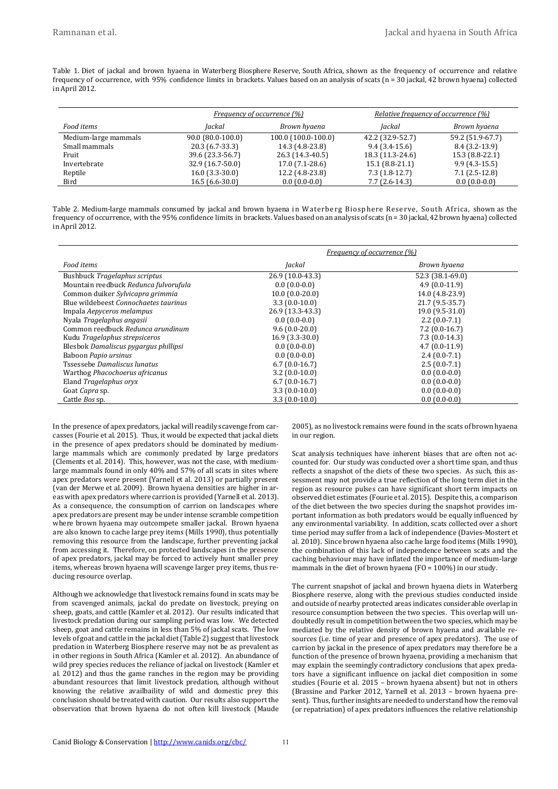Table 1. Diet of jackal and brown hyaena in Waterberg Biosphere Reserve, South Africa, shown as the frequency of occurrence and relative frequency of occurrence, with 95% confidence limits in brackets. Values based on an analysis of scats (n = 30 jackal, 42 brown hyaena) collected in April 2012.

|                      | Frequency of occurrence (%) |                     | Relative frequency of occurrence (%) |                  |
|----------------------|-----------------------------|---------------------|--------------------------------------|------------------|
| Food items           | Iackal                      | Brown hyaena        | Jackal                               | Brown hyaena     |
| Medium-large mammals | $90.0$ (80.0-100.0)         | 100.0 (100.0-100.0) | 42.2 (32.9-52.7)                     | 59.2 (51.9-67.7) |
| Small mammals        | 20.3 (6.7-33.3)             | 14.3 (4.8-23.8)     | $9.4(3.4-15.6)$                      | $8.4(3.2-13.9)$  |
| Fruit                | 39.6 (23.3-56.7)            | 26.3 (14.3-40.5)    | 18.3 (11.3-24.6)                     | 15.3 (8.8-22.1)  |
| Invertebrate         | $32.9(16.7-50.0)$           | $17.0(7.1-28.6)$    | $15.1(8.8-21.1)$                     | $9.9(4.3-15.5)$  |
| Reptile              | $16.0(3.3-30.0)$            | 12.2 (4.8-23.8)     | $7.3(1.8-12.7)$                      | $7.1(2.5-12.8)$  |
| Bird                 | $16.5(6.6-30.0)$            | $0.0(0.0-0.0)$      | $7.7(2.6-14.3)$                      | $0.0(0.0-0.0)$   |

| Table 2. Medium-large mammals consumed by jackal and brown hyaena in Waterberg Biosphere Reserve, South Africa, shown as the                         |
|------------------------------------------------------------------------------------------------------------------------------------------------------|
| frequency of occurrence, with the 95% confidence limits in brackets. Values based on an analysis of scats (n = 30 jackal, 42 brown hyaena) collected |
| in April 2012.                                                                                                                                       |

|                                       | Frequency of occurrence (%) |                  |  |
|---------------------------------------|-----------------------------|------------------|--|
| Food items                            | Jackal                      | Brown hyaena     |  |
| Bushbuck Tragelaphus scriptus         | 26.9 (10.0-43.3)            | 52.3 (38.1-69.0) |  |
| Mountain reedbuck Redunca fulvorufula | $0.0(0.0-0.0)$              | $4.9(0.0-11.9)$  |  |
| Common duiker Sylvicapra grimmia      | $10.0(0.0-20.0)$            | 14.0 (4.8-23.9)  |  |
| Blue wildebeest Connochaetes taurinus | $3.3(0.0-10.0)$             | 21.7 (9.5-35.7)  |  |
| Impala Aepyceros melampus             | 26.9 (13.3-43.3)            | 19.0 (9.5-31.0)  |  |
| Nyala Tragelaphus angasii             | $0.0(0.0-0.0)$              | $2.2(0.0-7.1)$   |  |
| Common reedbuck Redunca arundinum     | $9.6(0.0-20.0)$             | $7.2$ (0.0-16.7) |  |
| Kudu Tragelaphus strepsiceros         | 16.9 (3.3-30.0)             | $7.3(0.0-14.3)$  |  |
| Blesbok Damaliscus pygargus phillipsi | $0.0(0.0-0.0)$              | $4.7(0.0-11.9)$  |  |
| Baboon Papio ursinus                  | $0.0(0.0-0.0)$              | $2.4(0.0-7.1)$   |  |
| <b>Tssessebe Damaliscus lunatus</b>   | $6.7(0.0-16.7)$             | $2.5(0.0-7.1)$   |  |
| Warthog Phacochoerus africanus        | $3.2(0.0-10.0)$             | $0.0(0.0-0.0)$   |  |
| Eland Tragelaphus oryx                | $6.7(0.0-16.7)$             | $0.0(0.0-0.0)$   |  |
| Goat Capra sp.                        | $3.3(0.0-10.0)$             | $0.0(0.0-0.0)$   |  |
| Cattle Bos sp.                        | $3.3(0.0-10.0)$             | $0.0(0.0-0.0)$   |  |

In the presence of apex predators, jackal will readily scavenge from carcasses (Fourie et al. 2015). Thus, it would be expected that jackal diets in the presence of apex predators should be dominated by mediumlarge mammals which are commonly predated by large predators (Clements et al. 2014). This, however, was not the case, with mediumlarge mammals found in only 40% and 57% of all scats in sites where apex predators were present (Yarnell et al. 2013) or partially present (van der Merwe et al. 2009). Brown hyaena densities are higher in areas with apex predators where carrion is provided (Yarnell et al. 2013). As a consequence, the consumption of carrion on landscapes where apex predators are present may be under intense scramble competition where brown hyaena may outcompete smaller jackal. Brown hyaena are also known to cache large prey items (Mills 1990), thus potentially removing this resource from the landscape, further preventing jackal from accessing it. Therefore, on protected landscapes in the presence of apex predators, jackal may be forced to actively hunt smaller prey items, whereas brown hyaena will scavenge larger prey items, thus reducing resource overlap.

Although we acknowledge that livestock remains found in scats may be from scavenged animals, jackal do predate on livestock, preying on sheep, goats, and cattle (Kamler et al. 2012). Our results indicated that livestock predation during our sampling period was low. We detected sheep, goat and cattle remains in less than 5% of jackal scats. The low levels of goat and cattle in the jackal diet (Table 2) suggest that livestock predation in Waterberg Biosphere reserve may not be as prevalent as in other regions in South Africa (Kamler et al. 2012). An abundance of wild prey species reduces the reliance of jackal on livestock (Kamler et al. 2012) and thus the game ranches in the region may be providing abundant resources that limit livestock predation, although without knowing the relative availbaility of wild and domestic prey this conclusion should be treated with caution. Our results also support the observation that brown hyaena do not often kill livestock (Maude 2005), as no livestock remains were found in the scats of brown hyaena in our region.

Scat analysis techniques have inherent biases that are often not accounted for. Our study was conducted over a short time span, and thus reflects a snapshot of the diets of these two species. As such, this assessment may not provide a true reflection of the long term diet in the region as resource pulses can have significant short term impacts on observed diet estimates (Fourie et al. 2015). Despite this, a comparison of the diet between the two species during the snapshot provides important information as both predators would be equally influenced by any environmental variability. In addition, scats collected over a short time period may suffer from a lack of independence (Davies-Mostert et al. 2010). Since brown hyaena also cache large food items (Mills 1990), the combination of this lack of independence between scats and the caching behaviour may have inflated the importance of medium-large mammals in the diet of brown hyaena (FO = 100%) in our study.

The current snapshot of jackal and brown hyaena diets in Waterberg Biosphere reserve, along with the previous studies conducted inside and outside of nearby protected areas indicates considerable overlap in resource consumption between the two species. This overlap will undoubtedly result in competition between the two species, which may be mediated by the relative density of brown hyaena and available resources (i.e. time of year and presence of apex predators). The use of carrion by jackal in the presence of apex predators may therefore be a function of the presence of brown hyaena, providing a mechanism that may explain the seemingly contradictory conclusions that apex predators have a significant influence on jackal diet composition in some studies (Fourie et al. 2015 – brown hyaena absent) but not in others (Brassine and Parker 2012, Yarnell et al. 2013 – brown hyaena present). Thus, further insights are needed to understand how the removal (or repatriation) of apex predators influences the relative relationship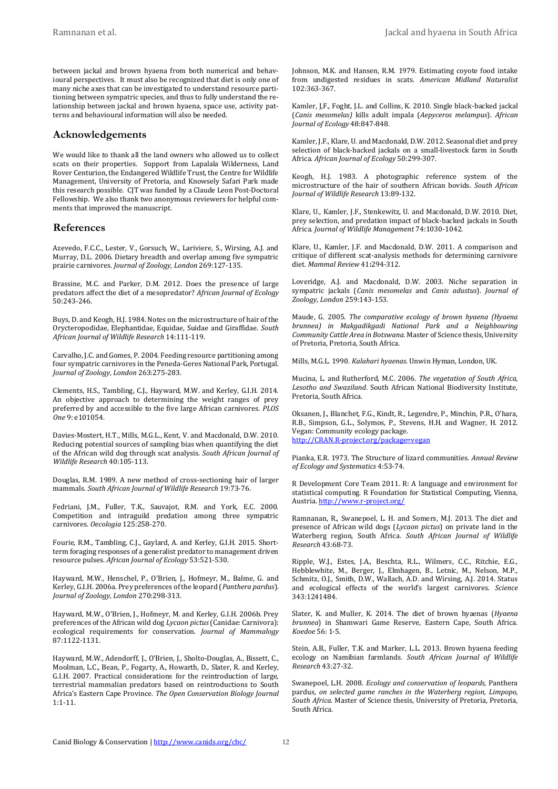between jackal and brown hyaena from both numerical and behavioural perspectives. It must also be recognized that diet is only one of many niche axes that can be investigated to understand resource partitioning between sympatric species, and thus to fully understand the relationship between jackal and brown hyaena, space use, activity patterns and behavioural information will also be needed.

#### **Acknowledgements**

We would like to thank all the land owners who allowed us to collect scats on their properties. Support from Lapalala Wilderness, Land Rover Centurion, the Endangered Wildlife Trust, the Centre for Wildlife Management, University of Pretoria, and Knowsely Safari Park made this research possible. CJT was funded by a Claude Leon Post-Doctoral Fellowship. We also thank two anonymous reviewers for helpful comments that improved the manuscript.

#### **References**

Azevedo, F.C.C., Lester, V., Gorsuch, W., Lariviere, S., Wirsing, A.J. and Murray, D.L. 2006. Dietary breadth and overlap among five sympatric prairie carnivores. *Journal of Zoology, London* 269:127-135.

Brassine, M.C. and Parker, D.M. 2012. Does the presence of large predators affect the diet of a mesopredator? *African Journal of Ecology* 50:243-246.

Buys, D. and Keogh, H.J. 1984. Notes on the microstructure of hair of the Orycteropodidae, Elephantidae, Equidae, Suidae and Giraffidae. *South African Journal of Wildlife Research* 14:111-119.

Carvalho, J.C. and Gomes, P. 2004. Feeding resource partitioning among four sympatric carnivores in the Peneda-Geres National Park, Portugal. *Journal of Zoology, London* 263:275-283.

Clements, H.S., Tambling, C.J., Hayward, M.W. and Kerley, G.I.H. 2014. An objective approach to determining the weight ranges of prey preferred by and accessible to the five large African carnivores. *PLOS One* 9: e101054.

Davies-Mostert, H.T., Mills, M.G.L., Kent, V. and Macdonald, D.W. 2010. Reducing potential sources of sampling bias when quantifying the diet of the African wild dog through scat analysis. *South African Journal of Wildlife Research* 40:105-113.

Douglas, R.M. 1989. A new method of cross-sectioning hair of larger mammals. *South African Journal of Wildlife Research* 19:73-76.

Fedriani, J.M., Fuller, T.K., Sauvajot, R.M. and York, E.C. 2000. Competition and intraguild predation among three sympatric carnivores. *Oecologia* 125:258-270.

Fourie, R.M., Tambling, C.J., Gaylard, A. and Kerley, G.I.H. 2015. Shortterm foraging responses of a generalist predator to management driven resource pulses. *African Journal of Ecology* 53:521-530.

Hayward, M.W., Henschel, P., O'Brien, J., Hofmeyr, M., Balme, G. and Kerley, G.I.H. 2006a. Prey preferences of the leopard (*Panthera pardus*). *Journal of Zoology, London* 270:298-313.

Hayward, M.W., O'Brien, J., Hofmeyr, M. and Kerley, G.I.H. 2006b. Prey preferences of the African wild dog *Lycaon pictus* (Canidae: Carnivora): ecological requirements for conservation. *Journal of Mammalogy* 87:1122-1131.

Hayward, M.W., Adendorff, J., O'Brien, J., Sholto-Douglas, A., Bissett, C., Moolman, L.C., Bean, P., Fogarty, A., Howarth, D., Slater, R. and Kerley, G.I.H. 2007. Practical considerations for the reintroduction of large, terrestrial mammalian predators based on reintroductions to South Africa's Eastern Cape Province. *The Open Conservation Biology Journal* 1:1-11.

Johnson, M.K. and Hansen, R.M. 1979. Estimating coyote food intake from undigested residues in scats. *American Midland Naturalist* 102:363-367.

Kamler, J,F., Foght, J.L. and Collins, K. 2010. Single black-backed jackal (*Canis mesomelas)* kills adult impala (*Aepyceros melampus*). *African Journal of Ecology* 48:847-848.

Kamler, J.F., Klare, U. and Macdonald, D.W. 2012. Seasonal diet and prey selection of black-backed jackals on a small-livestock farm in South Africa. *African Journal of Ecology* 50:299-307.

Keogh, H.J. 1983. A photographic reference system of the microstructure of the hair of southern African bovids. *South African Journal of Wildlife Research* 13:89-132.

Klare, U., Kamler, J.F., Stenkewitz, U. and Macdonald, D.W. 2010. Diet, prey selection, and predation impact of black-backed jackals in South Africa. *Journal of Wildlife Management* 74:1030-1042.

Klare, U., Kamler, J.F. and Macdonald, D.W. 2011. A comparison and critique of different scat-analysis methods for determining carnivore diet. *Mammal Review* 41**:**294-312.

Loveridge, A.J. and Macdonald, D.W. 2003. Niche separation in sympatric jackals (*Canis mesomelas* and *Canis adustus*). *Journal of Zoology, London* 259:143-153.

Maude, G. 2005. *The comparative ecology of brown hyaena (Hyaena brunnea) in Makgadikgadi National Park and a Neighbouring Community Cattle Area in Botswana.* Master of Science thesis, University of Pretoria, Pretoria, South Africa.

Mills, M.G.L. 1990. *Kalahari hyaenas*. Unwin Hyman, London, UK.

Mucina, L. and Rutherford, M.C. 2006. *The vegetation of South Africa, Lesotho and Swaziland*. South African National Biodiversity Institute, Pretoria, South Africa.

Oksanen, J., Blanchet, F.G., Kindt, R., Legendre, P., Minchin, P.R., O'hara, R.B., Simpson, G.L., Solymos, P., Stevens, H.H. and Wagner, H. 2012. Vegan: Community ecology package. [http://CRAN.R-project.org/package=vegan](http://cran.r-project.org/package=vegan)

Pianka, E.R. 1973. The Structure of lizard communities. *Annual Review of Ecology and Systematics* 4:53-74.

R Development Core Team 2011. R: A language and environment for statistical computing. R Foundation for Statistical Computing, Vienna, Austria[. http://www.r-project.org/](http://www.r-project.org/)

Ramnanan, R., Swanepoel, L. H. and Somers, M.J. 2013. The diet and presence of African wild dogs (*Lycaon pictus*) on private land in the Waterberg region, South Africa. *South African Journal of Wildlife Research* 43:68-73.

Ripple, W.J., Estes, J.A., Beschta, R.L., Wilmers, C.C., Ritchie, E.G., Hebblewhite, M., Berger, J., Elmhagen, B., Letnic, M., Nelson, M.P., Schmitz, O.J., Smith, D.W., Wallach, A.D. and Wirsing, A.J. 2014. Status and ecological effects of the world's largest carnivores. *Science* 343:1241484.

Slater, K. and Muller, K. 2014. The diet of brown hyaenas (*Hyaena brunnea*) in Shamwari Game Reserve, Eastern Cape, South Africa. *Koedoe* 56: 1-5.

Stein, A.B., Fuller, T.K. and Marker, L.L. 2013. Brown hyaena feeding ecology on Namibian farmlands. *South African Journal of Wildlife Research* 43:27-32.

Swanepoel, L.H. 2008. *Ecology and conservation of leopards,* Panthera pardus*, on selected game ranches in the Waterberg region, Limpopo, South Africa*. Master of Science thesis, University of Pretoria, Pretoria, South Africa.